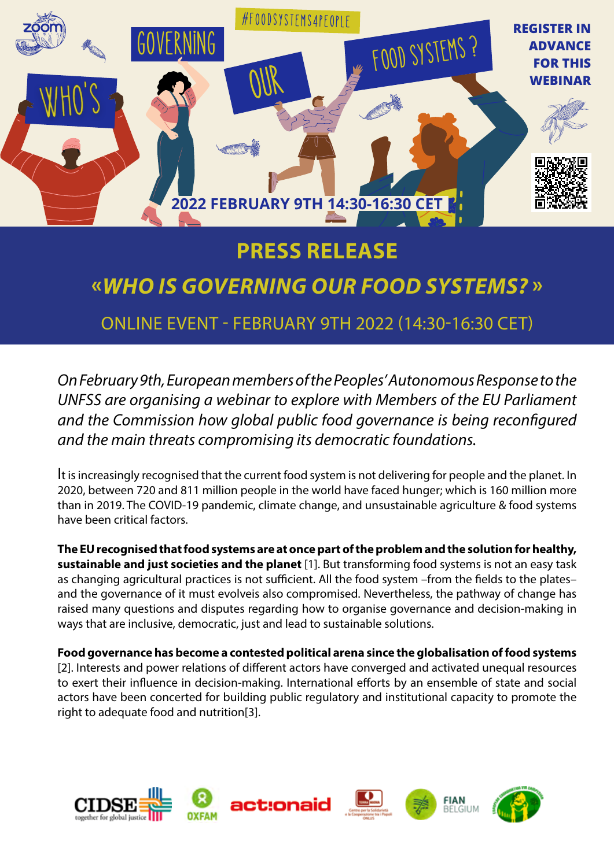

# **PRESS RELEASE**

# **«***WHO IS GOVERNING OUR FOOD SYSTEMS?* **»**

### ONLINE EVENT - FEBRUARY 9TH 2022 (14:30-16:30 CET)

*On February 9th, European members of the Peoples' Autonomous Response to the UNFSS are organising a webinar to explore with Members of the EU Parliament and the Commission how global public food governance is being reconfigured and the main threats compromising its democratic foundations.* 

It is increasingly recognised that the current food system is not delivering for people and the planet. In 2020, between 720 and 811 million people in the world have faced hunger; which is 160 million more than in 2019. The COVID-19 pandemic, climate change, and unsustainable agriculture & food systems have been critical factors.

**The EU recognised that food systems are at once part of the problem and the solution for healthy, sustainable and just societies and the planet** [1]. But transforming food systems is not an easy task as changing agricultural practices is not sufficient. All the food system –from the fields to the plates– and the governance of it must evolveis also compromised. Nevertheless, the pathway of change has raised many questions and disputes regarding how to organise governance and decision-making in ways that are inclusive, democratic, just and lead to sustainable solutions.

**Food governance has become a contested political arena since the globalisation of food systems** [2]. Interests and power relations of different actors have converged and activated unequal resources to exert their influence in decision-making. International efforts by an ensemble of state and social actors have been concerted for building public regulatory and institutional capacity to promote the right to adequate food and nutrition[3].

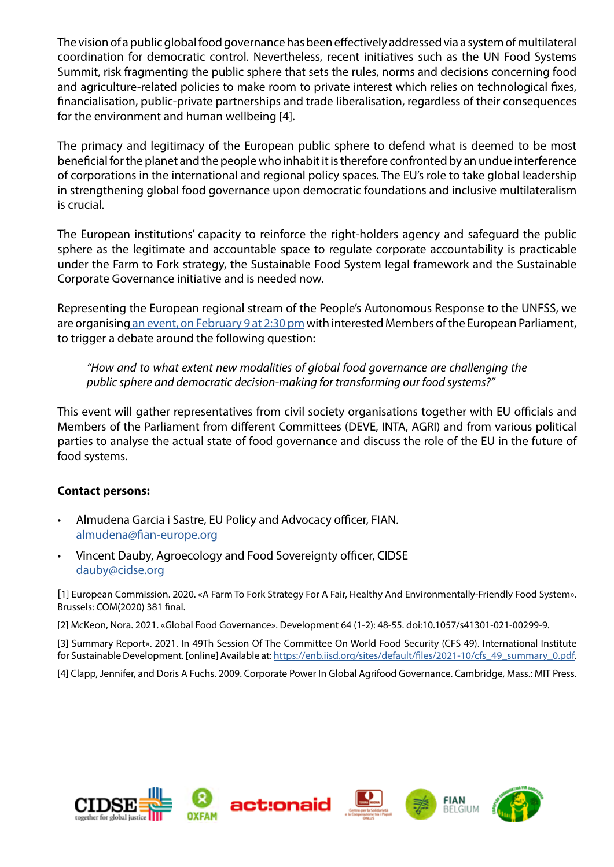The vision of a public global food governance has been effectively addressed via a system of multilateral coordination for democratic control. Nevertheless, recent initiatives such as the UN Food Systems Summit, risk fragmenting the public sphere that sets the rules, norms and decisions concerning food and agriculture-related policies to make room to private interest which relies on technological fixes, financialisation, public-private partnerships and trade liberalisation, regardless of their consequences for the environment and human wellbeing [4].

The primacy and legitimacy of the European public sphere to defend what is deemed to be most beneficial for the planet and the people who inhabit it is therefore confronted by an undue interference of corporations in the international and regional policy spaces. The EU's role to take global leadership in strengthening global food governance upon democratic foundations and inclusive multilateralism is crucial.

The European institutions' capacity to reinforce the right-holders agency and safeguard the public sphere as the legitimate and accountable space to regulate corporate accountability is practicable under the Farm to Fork strategy, the Sustainable Food System legal framework and the Sustainable Corporate Governance initiative and is needed now.

Representing the European regional stream of the People's Autonomous Response to the UNFSS, we are organising [an event, on February 9 at 2:30 pm](https://us02web.zoom.us/webinar/register/WN_F4MD74MGRPOanS8bSdPWdg) with interested Members of the European Parliament, to trigger a debate around the following question:

*"How and to what extent new modalities of global food governance are challenging the public sphere and democratic decision-making for transforming our food systems?"* 

This event will gather representatives from civil society organisations together with EU officials and Members of the Parliament from different Committees (DEVE, INTA, AGRI) and from various political parties to analyse the actual state of food governance and discuss the role of the EU in the future of food systems.

### **Contact persons:**

- Almudena Garcia i Sastre, EU Policy and Advocacy officer, FIAN. [almudena@fian-europe.org](mailto:almudena%40fian-europe.org?subject=INFO%20who%27s%20governing%20our%20foodsystems)
- Vincent Dauby, Agroecology and Food Sovereignty officer, CIDSE [dauby@cidse.org](mailto:dauby%40cidse.org?subject=INFO%20who%27s%20governing%20our%20foodsystems)

[1] European Commission. 2020. «A Farm To Fork Strategy For A Fair, Healthy And Environmentally-Friendly Food System». Brussels: COM(2020) 381 final.

[2] McKeon, Nora. 2021. «Global Food Governance». Development 64 (1-2): 48-55. doi:10.1057/s41301-021-00299-9.

[3] Summary Report». 2021. In 49Th Session Of The Committee On World Food Security (CFS 49). International Institute for Sustainable Development. [online] Available at: [https://enb.iisd.org/sites/default/files/2021-10/cfs\\_49\\_summary\\_0.pdf](https://enb.iisd.org/sites/default/files/2021-10/cfs_49_summary_0.pdf).

[4] Clapp, Jennifer, and Doris A Fuchs. 2009. Corporate Power In Global Agrifood Governance. Cambridge, Mass.: MIT Press.